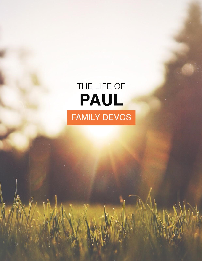# THE LIFE OF PAUL **FAMILY DEVOS**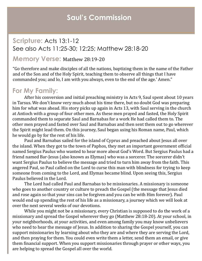### **Scripture:** Acts 13:1-12 See also Acts 11:25-30; 12:25; Matthew 28:18-20

#### **Memory Verse:** Matthew 28:19-20

"Go therefore and make disciples of all the nations, baptizing them in the name of the Father and of the Son and of the Holy Spirit, teaching them to observe all things that I have commanded you; and lo, I am with you always, even to the end of the age.' Amen."

#### **For My Family:**

After his conversion and initial preaching ministry in Acts 9, Saul spent about 10 years in Tarsus. We don't know very much about his time there, but no doubt God was preparing him for what was ahead. His story picks up again in Acts 13, with Saul serving in the church at Antioch with a group of four other men. As these men prayed and fasted, the Holy Spirit commanded them to separate Saul and Barnabas for a work He had called them to. The other men prayed and fasted over Saul and Barnabas and then sent them out to go wherever the Spirit might lead them. On this journey, Saul began using his Roman name, Paul, which he would go by for the rest of his life.

Paul and Barnabas sailed for the island of Cyprus and preached about Jesus all over the island. When they got to the town of Paphos, they met an important government official named Sergius Paulus who wanted to hear more about God's Word. But Sergius Paulus had a friend named Bar-Jesus (also known as Elymas) who was a sorcerer. The sorcerer didn't want Sergius Paulus to believe the message and tried to turn him away from the faith. This angered Paul, so Paul called on the Lord to curse this man with blindness for trying to keep someone from coming to the Lord, and Elymas became blind. Upon seeing this, Sergius Paulus believed in the Lord.

The Lord had called Paul and Barnabas to be missionaries. A missionary is someone who goes to another country or culture to preach the Gospel (the message that Jesus died and rose again so that your sins can be forgiven and you can be with Him forever). Paul would end up spending the rest of his life as a missionary, a journey which we will look at over the next several weeks of our devotions.

While you might not be a missionary, every Christian is supposed to do the work of a missionary and spread the Gospel wherever they go (Matthew 28:18-20). At your school, in your neighborhoods, at your activities, and even among family you may know unbelievers who need to hear the message of Jesus. In addition to sharing the Gospel yourself, you can support missionaries by learning about who they are and where they are serving the Lord, and then praying for them. You could even write them a letter, send them an email, or give them financial support. When you support missionaries through prayer or other ways, you are helping to spread the Gospel all over the world.